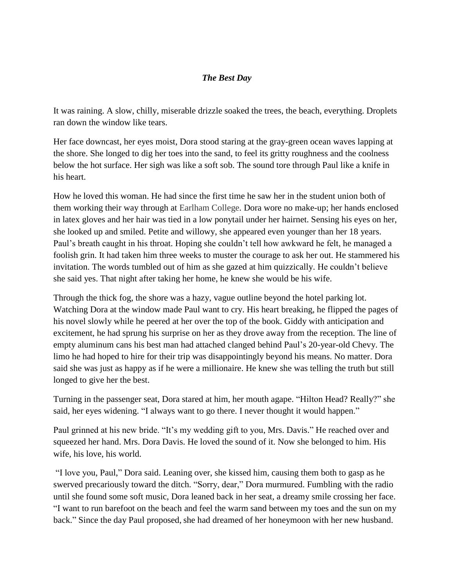## *The Best Day*

It was raining. A slow, chilly, miserable drizzle soaked the trees, the beach, everything. Droplets ran down the window like tears.

Her face downcast, her eyes moist, Dora stood staring at the gray-green ocean waves lapping at the shore. She longed to dig her toes into the sand, to feel its gritty roughness and the coolness below the hot surface. Her sigh was like a soft sob. The sound tore through Paul like a knife in his heart.

How he loved this woman. He had since the first time he saw her in the student union both of them working their way through at Earlham College. Dora wore no make-up; her hands enclosed in latex gloves and her hair was tied in a low ponytail under her hairnet. Sensing his eyes on her, she looked up and smiled. Petite and willowy, she appeared even younger than her 18 years. Paul's breath caught in his throat. Hoping she couldn't tell how awkward he felt, he managed a foolish grin. It had taken him three weeks to muster the courage to ask her out. He stammered his invitation. The words tumbled out of him as she gazed at him quizzically. He couldn't believe she said yes. That night after taking her home, he knew she would be his wife.

Through the thick fog, the shore was a hazy, vague outline beyond the hotel parking lot. Watching Dora at the window made Paul want to cry. His heart breaking, he flipped the pages of his novel slowly while he peered at her over the top of the book. Giddy with anticipation and excitement, he had sprung his surprise on her as they drove away from the reception. The line of empty aluminum cans his best man had attached clanged behind Paul's 20-year-old Chevy. The limo he had hoped to hire for their trip was disappointingly beyond his means. No matter. Dora said she was just as happy as if he were a millionaire. He knew she was telling the truth but still longed to give her the best.

Turning in the passenger seat, Dora stared at him, her mouth agape. "Hilton Head? Really?" she said, her eyes widening. "I always want to go there. I never thought it would happen."

Paul grinned at his new bride. "It's my wedding gift to you, Mrs. Davis." He reached over and squeezed her hand. Mrs. Dora Davis. He loved the sound of it. Now she belonged to him. His wife, his love, his world.

"I love you, Paul," Dora said. Leaning over, she kissed him, causing them both to gasp as he swerved precariously toward the ditch. "Sorry, dear," Dora murmured. Fumbling with the radio until she found some soft music, Dora leaned back in her seat, a dreamy smile crossing her face. "I want to run barefoot on the beach and feel the warm sand between my toes and the sun on my back." Since the day Paul proposed, she had dreamed of her honeymoon with her new husband.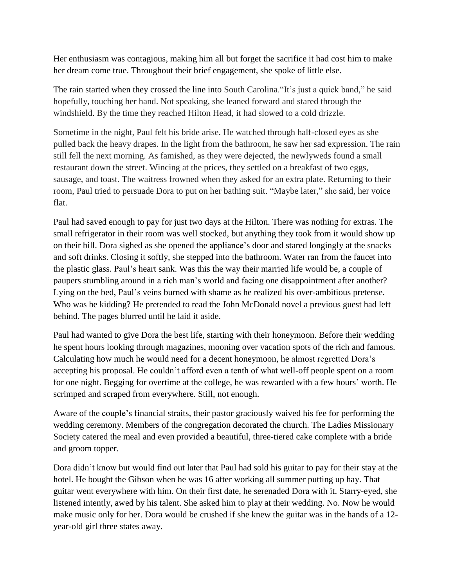Her enthusiasm was contagious, making him all but forget the sacrifice it had cost him to make her dream come true. Throughout their brief engagement, she spoke of little else.

The rain started when they crossed the line into South Carolina."It's just a quick band," he said hopefully, touching her hand. Not speaking, she leaned forward and stared through the windshield. By the time they reached Hilton Head, it had slowed to a cold drizzle.

Sometime in the night, Paul felt his bride arise. He watched through half-closed eyes as she pulled back the heavy drapes. In the light from the bathroom, he saw her sad expression. The rain still fell the next morning. As famished, as they were dejected, the newlyweds found a small restaurant down the street. Wincing at the prices, they settled on a breakfast of two eggs, sausage, and toast. The waitress frowned when they asked for an extra plate. Returning to their room, Paul tried to persuade Dora to put on her bathing suit. "Maybe later," she said, her voice flat.

Paul had saved enough to pay for just two days at the Hilton. There was nothing for extras. The small refrigerator in their room was well stocked, but anything they took from it would show up on their bill. Dora sighed as she opened the appliance's door and stared longingly at the snacks and soft drinks. Closing it softly, she stepped into the bathroom. Water ran from the faucet into the plastic glass. Paul's heart sank. Was this the way their married life would be, a couple of paupers stumbling around in a rich man's world and facing one disappointment after another? Lying on the bed, Paul's veins burned with shame as he realized his over-ambitious pretense. Who was he kidding? He pretended to read the John McDonald novel a previous guest had left behind. The pages blurred until he laid it aside.

Paul had wanted to give Dora the best life, starting with their honeymoon. Before their wedding he spent hours looking through magazines, mooning over vacation spots of the rich and famous. Calculating how much he would need for a decent honeymoon, he almost regretted Dora's accepting his proposal. He couldn't afford even a tenth of what well-off people spent on a room for one night. Begging for overtime at the college, he was rewarded with a few hours' worth. He scrimped and scraped from everywhere. Still, not enough.

Aware of the couple's financial straits, their pastor graciously waived his fee for performing the wedding ceremony. Members of the congregation decorated the church. The Ladies Missionary Society catered the meal and even provided a beautiful, three-tiered cake complete with a bride and groom topper.

Dora didn't know but would find out later that Paul had sold his guitar to pay for their stay at the hotel. He bought the Gibson when he was 16 after working all summer putting up hay. That guitar went everywhere with him. On their first date, he serenaded Dora with it. Starry-eyed, she listened intently, awed by his talent. She asked him to play at their wedding. No. Now he would make music only for her. Dora would be crushed if she knew the guitar was in the hands of a 12 year-old girl three states away.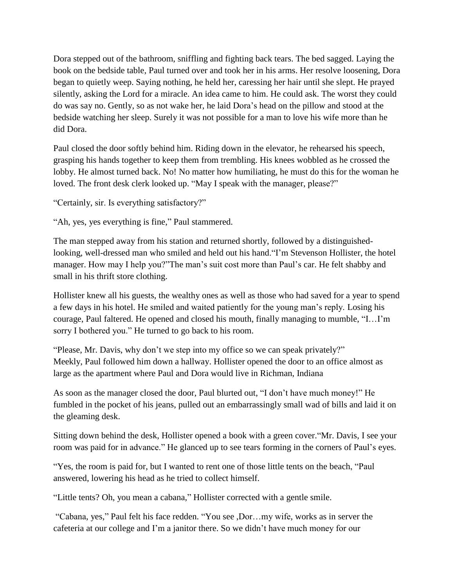Dora stepped out of the bathroom, sniffling and fighting back tears. The bed sagged. Laying the book on the bedside table, Paul turned over and took her in his arms. Her resolve loosening, Dora began to quietly weep. Saying nothing, he held her, caressing her hair until she slept. He prayed silently, asking the Lord for a miracle. An idea came to him. He could ask. The worst they could do was say no. Gently, so as not wake her, he laid Dora's head on the pillow and stood at the bedside watching her sleep. Surely it was not possible for a man to love his wife more than he did Dora.

Paul closed the door softly behind him. Riding down in the elevator, he rehearsed his speech, grasping his hands together to keep them from trembling. His knees wobbled as he crossed the lobby. He almost turned back. No! No matter how humiliating, he must do this for the woman he loved. The front desk clerk looked up. "May I speak with the manager, please?"

"Certainly, sir. Is everything satisfactory?"

"Ah, yes, yes everything is fine," Paul stammered.

The man stepped away from his station and returned shortly, followed by a distinguishedlooking, well-dressed man who smiled and held out his hand."I'm Stevenson Hollister, the hotel manager. How may I help you?"The man's suit cost more than Paul's car. He felt shabby and small in his thrift store clothing.

Hollister knew all his guests, the wealthy ones as well as those who had saved for a year to spend a few days in his hotel. He smiled and waited patiently for the young man's reply. Losing his courage, Paul faltered. He opened and closed his mouth, finally managing to mumble, "I…I'm sorry I bothered you." He turned to go back to his room.

"Please, Mr. Davis, why don't we step into my office so we can speak privately?" Meekly, Paul followed him down a hallway. Hollister opened the door to an office almost as large as the apartment where Paul and Dora would live in Richman, Indiana

As soon as the manager closed the door, Paul blurted out, "I don't have much money!" He fumbled in the pocket of his jeans, pulled out an embarrassingly small wad of bills and laid it on the gleaming desk.

Sitting down behind the desk, Hollister opened a book with a green cover."Mr. Davis, I see your room was paid for in advance." He glanced up to see tears forming in the corners of Paul's eyes.

"Yes, the room is paid for, but I wanted to rent one of those little tents on the beach, "Paul answered, lowering his head as he tried to collect himself.

"Little tents? Oh, you mean a cabana," Hollister corrected with a gentle smile.

"Cabana, yes," Paul felt his face redden. "You see ,Dor…my wife, works as in server the cafeteria at our college and I'm a janitor there. So we didn't have much money for our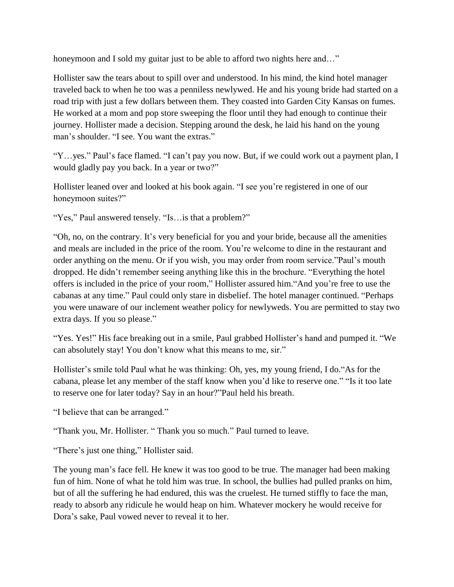honeymoon and I sold my guitar just to be able to afford two nights here and..."

Hollister saw the tears about to spill over and understood. In his mind, the kind hotel manager traveled back to when he too was a penniless newlywed. He and his young bride had started on a road trip with just a few dollars between them. They coasted into Garden City Kansas on fumes. He worked at a mom and pop store sweeping the floor until they had enough to continue their journey. Hollister made a decision. Stepping around the desk, he laid his hand on the young man's shoulder. "I see. You want the extras."

"Y…yes." Paul's face flamed. "I can't pay you now. But, if we could work out a payment plan, I would gladly pay you back. In a year or two?"

Hollister leaned over and looked at his book again. "I see you're registered in one of our honeymoon suites?"

"Yes," Paul answered tensely. "Is…is that a problem?"

"Oh, no, on the contrary. It's very beneficial for you and your bride, because all the amenities and meals are included in the price of the room. You're welcome to dine in the restaurant and order anything on the menu. Or if you wish, you may order from room service."Paul's mouth dropped. He didn't remember seeing anything like this in the brochure. "Everything the hotel offers is included in the price of your room," Hollister assured him."And you're free to use the cabanas at any time." Paul could only stare in disbelief. The hotel manager continued. "Perhaps you were unaware of our inclement weather policy for newlyweds. You are permitted to stay two extra days. If you so please."

"Yes. Yes!" His face breaking out in a smile, Paul grabbed Hollister's hand and pumped it. "We can absolutely stay! You don't know what this means to me, sir."

Hollister's smile told Paul what he was thinking: Oh, yes, my young friend, I do."As for the cabana, please let any member of the staff know when you'd like to reserve one." "Is it too late to reserve one for later today? Say in an hour?"Paul held his breath.

"I believe that can be arranged."

"Thank you, Mr. Hollister. " Thank you so much." Paul turned to leave.

"There's just one thing," Hollister said.

The young man's face fell. He knew it was too good to be true. The manager had been making fun of him. None of what he told him was true. In school, the bullies had pulled pranks on him, but of all the suffering he had endured, this was the cruelest. He turned stiffly to face the man, ready to absorb any ridicule he would heap on him. Whatever mockery he would receive for Dora's sake, Paul vowed never to reveal it to her.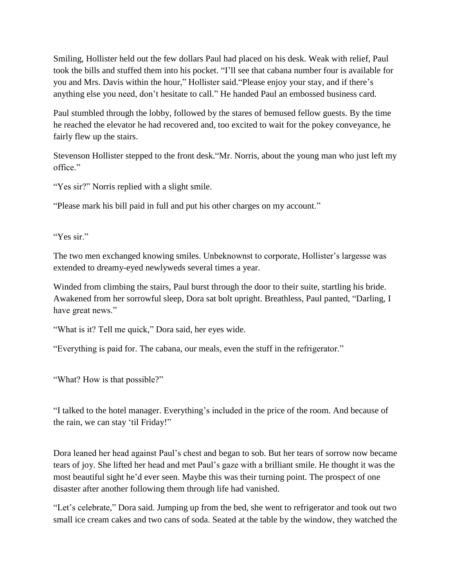Smiling, Hollister held out the few dollars Paul had placed on his desk. Weak with relief, Paul took the bills and stuffed them into his pocket. "I'll see that cabana number four is available for you and Mrs. Davis within the hour," Hollister said."Please enjoy your stay, and if there's anything else you need, don't hesitate to call." He handed Paul an embossed business card.

Paul stumbled through the lobby, followed by the stares of bemused fellow guests. By the time he reached the elevator he had recovered and, too excited to wait for the pokey conveyance, he fairly flew up the stairs.

Stevenson Hollister stepped to the front desk."Mr. Norris, about the young man who just left my office."

"Yes sir?" Norris replied with a slight smile.

"Please mark his bill paid in full and put his other charges on my account."

"Yes sir."

The two men exchanged knowing smiles. Unbeknownst to corporate, Hollister's largesse was extended to dreamy-eyed newlyweds several times a year.

Winded from climbing the stairs, Paul burst through the door to their suite, startling his bride. Awakened from her sorrowful sleep, Dora sat bolt upright. Breathless, Paul panted, "Darling, I have great news."

"What is it? Tell me quick," Dora said, her eyes wide.

"Everything is paid for. The cabana, our meals, even the stuff in the refrigerator."

"What? How is that possible?"

"I talked to the hotel manager. Everything's included in the price of the room. And because of the rain, we can stay 'til Friday!"

Dora leaned her head against Paul's chest and began to sob. But her tears of sorrow now became tears of joy. She lifted her head and met Paul's gaze with a brilliant smile. He thought it was the most beautiful sight he'd ever seen. Maybe this was their turning point. The prospect of one disaster after another following them through life had vanished.

"Let's celebrate," Dora said. Jumping up from the bed, she went to refrigerator and took out two small ice cream cakes and two cans of soda. Seated at the table by the window, they watched the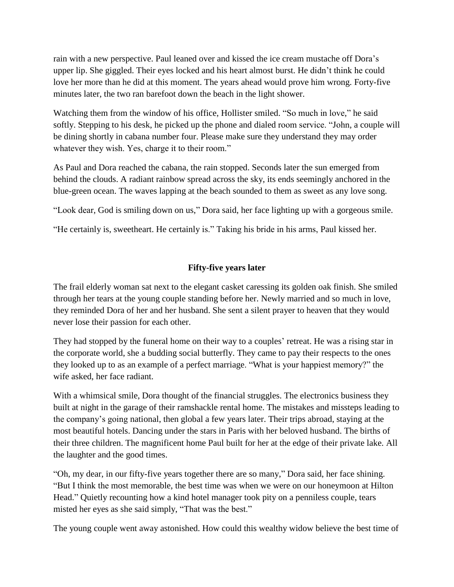rain with a new perspective. Paul leaned over and kissed the ice cream mustache off Dora's upper lip. She giggled. Their eyes locked and his heart almost burst. He didn't think he could love her more than he did at this moment. The years ahead would prove him wrong. Forty-five minutes later, the two ran barefoot down the beach in the light shower.

Watching them from the window of his office, Hollister smiled. "So much in love," he said softly. Stepping to his desk, he picked up the phone and dialed room service. "John, a couple will be dining shortly in cabana number four. Please make sure they understand they may order whatever they wish. Yes, charge it to their room."

As Paul and Dora reached the cabana, the rain stopped. Seconds later the sun emerged from behind the clouds. A radiant rainbow spread across the sky, its ends seemingly anchored in the blue-green ocean. The waves lapping at the beach sounded to them as sweet as any love song.

"Look dear, God is smiling down on us," Dora said, her face lighting up with a gorgeous smile.

"He certainly is, sweetheart. He certainly is." Taking his bride in his arms, Paul kissed her.

## **Fifty-five years later**

The frail elderly woman sat next to the elegant casket caressing its golden oak finish. She smiled through her tears at the young couple standing before her. Newly married and so much in love, they reminded Dora of her and her husband. She sent a silent prayer to heaven that they would never lose their passion for each other.

They had stopped by the funeral home on their way to a couples' retreat. He was a rising star in the corporate world, she a budding social butterfly. They came to pay their respects to the ones they looked up to as an example of a perfect marriage. "What is your happiest memory?" the wife asked, her face radiant.

With a whimsical smile, Dora thought of the financial struggles. The electronics business they built at night in the garage of their ramshackle rental home. The mistakes and missteps leading to the company's going national, then global a few years later. Their trips abroad, staying at the most beautiful hotels. Dancing under the stars in Paris with her beloved husband. The births of their three children. The magnificent home Paul built for her at the edge of their private lake. All the laughter and the good times.

"Oh, my dear, in our fifty-five years together there are so many," Dora said, her face shining. "But I think the most memorable, the best time was when we were on our honeymoon at Hilton Head." Quietly recounting how a kind hotel manager took pity on a penniless couple, tears misted her eyes as she said simply, "That was the best."

The young couple went away astonished. How could this wealthy widow believe the best time of